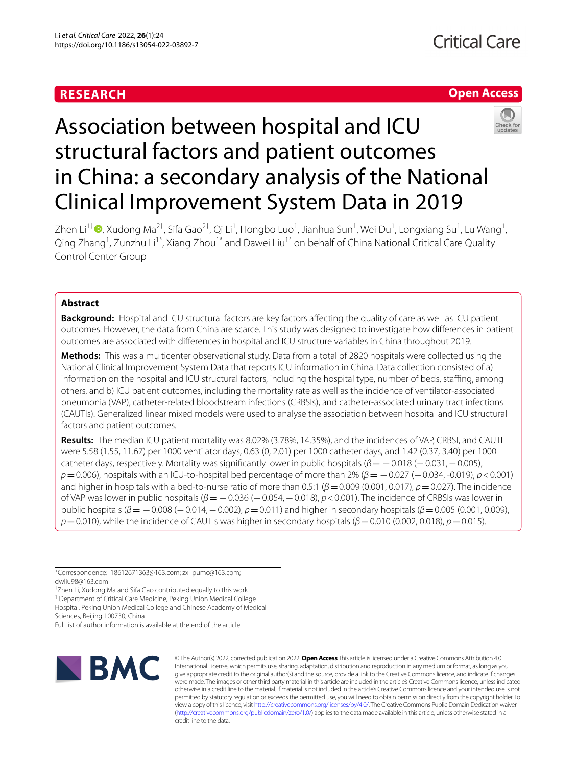# **RESEARCH**

## **Open Access**



# Association between hospital and ICU structural factors and patient outcomes in China: a secondary analysis of the National Clinical Improvement System Data in 2019

Zhen Li<sup>1†</sup>®[,](http://orcid.org/0000-0002-4052-199X) Xudong Ma<sup>2†</sup>, Sifa Gao<sup>2†</sup>, Qi Li<sup>1</sup>, Hongbo Luo<sup>1</sup>, Jianhua Sun<sup>1</sup>, Wei Du<sup>1</sup>, Longxiang Su<sup>1</sup>, Lu Wang<sup>1</sup>, Qing Zhang<sup>1</sup>, Zunzhu Li<sup>1\*</sup>, Xiang Zhou<sup>1\*</sup> and Dawei Liu<sup>1\*</sup> on behalf of China National Critical Care Quality Control Center Group

## **Abstract**

**Background:** Hospital and ICU structural factors are key factors afecting the quality of care as well as ICU patient outcomes. However, the data from China are scarce. This study was designed to investigate how diferences in patient outcomes are associated with diferences in hospital and ICU structure variables in China throughout 2019.

**Methods:** This was a multicenter observational study. Data from a total of 2820 hospitals were collected using the National Clinical Improvement System Data that reports ICU information in China. Data collection consisted of a) information on the hospital and ICU structural factors, including the hospital type, number of beds, staffing, among others, and b) ICU patient outcomes, including the mortality rate as well as the incidence of ventilator-associated pneumonia (VAP), catheter-related bloodstream infections (CRBSIs), and catheter-associated urinary tract infections (CAUTIs). Generalized linear mixed models were used to analyse the association between hospital and ICU structural factors and patient outcomes.

**Results:** The median ICU patient mortality was 8.02% (3.78%, 14.35%), and the incidences of VAP, CRBSI, and CAUTI were 5.58 (1.55, 11.67) per 1000 ventilator days, 0.63 (0, 2.01) per 1000 catheter days, and 1.42 (0.37, 3.40) per 1000 catheter days, respectively. Mortality was signifcantly lower in public hospitals (*β*= −0.018 (−0.031,−0.005), *p* = 0.006), hospitals with an ICU-to-hospital bed percentage of more than 2% (*β* = −0.027 (−0.034, -0.019), *p* < 0.001) and higher in hospitals with a bed-to-nurse ratio of more than 0.5:1 (*β*=0.009 (0.001, 0.017), *p*=0.027). The incidence of VAP was lower in public hospitals (*β*= −0.036 (−0.054,−0.018), *p*<0.001). The incidence of CRBSIs was lower in public hospitals (*β*= −0.008 (−0.014,−0.002), *p*=0.011) and higher in secondary hospitals (*β*=0.005 (0.001, 0.009), *p*=0.010), while the incidence of CAUTIs was higher in secondary hospitals (*β*=0.010 (0.002, 0.018), *p*=0.015).

\*Correspondence: 18612671363@163.com; zx\_pumc@163.com; dwliu98@163.com

† Zhen Li, Xudong Ma and Sifa Gao contributed equally to this work

<sup>1</sup> Department of Critical Care Medicine, Peking Union Medical College Hospital, Peking Union Medical College and Chinese Academy of Medical

Sciences, Beijing 100730, China

Full list of author information is available at the end of the article



© The Author(s) 2022, corrected publication 2022. **Open Access** This article is licensed under a Creative Commons Attribution 4.0 International License, which permits use, sharing, adaptation, distribution and reproduction in any medium or format, as long as you give appropriate credit to the original author(s) and the source, provide a link to the Creative Commons licence, and indicate if changes were made. The images or other third party material in this article are included in the article's Creative Commons licence, unless indicated otherwise in a credit line to the material. If material is not included in the article's Creative Commons licence and your intended use is not permitted by statutory regulation or exceeds the permitted use, you will need to obtain permission directly from the copyright holder. To view a copy of this licence, visit [http://creativecommons.org/licenses/by/4.0/.](http://creativecommons.org/licenses/by/4.0/) The Creative Commons Public Domain Dedication waiver [\(http://creativecommons.org/publicdomain/zero/1.0/\)](http://creativecommons.org/publicdomain/zero/1.0/) applies to the data made available in this article, unless otherwise stated in a credit line to the data.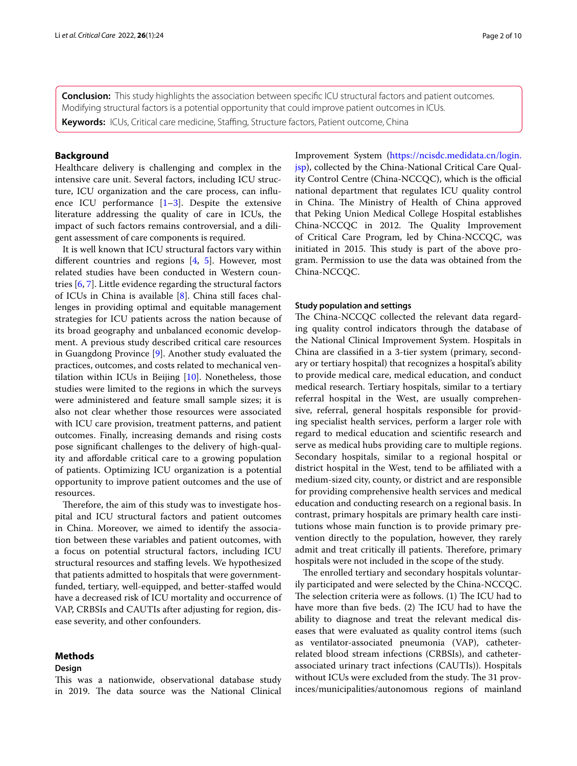**Conclusion:** This study highlights the association between specifc ICU structural factors and patient outcomes. Modifying structural factors is a potential opportunity that could improve patient outcomes in ICUs.

**Keywords:** ICUs, Critical care medicine, Stafng, Structure factors, Patient outcome, China

## **Background**

Healthcare delivery is challenging and complex in the intensive care unit. Several factors, including ICU structure, ICU organization and the care process, can infuence ICU performance  $[1-3]$  $[1-3]$ . Despite the extensive literature addressing the quality of care in ICUs, the impact of such factors remains controversial, and a diligent assessment of care components is required.

It is well known that ICU structural factors vary within diferent countries and regions [[4,](#page-9-1) [5\]](#page-9-2). However, most related studies have been conducted in Western countries [\[6](#page-9-3), [7](#page-9-4)]. Little evidence regarding the structural factors of ICUs in China is available [[8](#page-9-5)]. China still faces challenges in providing optimal and equitable management strategies for ICU patients across the nation because of its broad geography and unbalanced economic development. A previous study described critical care resources in Guangdong Province [\[9](#page-9-6)]. Another study evaluated the practices, outcomes, and costs related to mechanical ventilation within ICUs in Beijing  $[10]$  $[10]$ . Nonetheless, those studies were limited to the regions in which the surveys were administered and feature small sample sizes; it is also not clear whether those resources were associated with ICU care provision, treatment patterns, and patient outcomes. Finally, increasing demands and rising costs pose signifcant challenges to the delivery of high-quality and afordable critical care to a growing population of patients. Optimizing ICU organization is a potential opportunity to improve patient outcomes and the use of resources.

Therefore, the aim of this study was to investigate hospital and ICU structural factors and patient outcomes in China. Moreover, we aimed to identify the association between these variables and patient outcomes, with a focus on potential structural factors, including ICU structural resources and staffing levels. We hypothesized that patients admitted to hospitals that were governmentfunded, tertiary, well-equipped, and better-stafed would have a decreased risk of ICU mortality and occurrence of VAP, CRBSIs and CAUTIs after adjusting for region, disease severity, and other confounders.

## **Methods**

#### **Design**

This was a nationwide, observational database study in 2019. The data source was the National Clinical Improvement System ([https://ncisdc.medidata.cn/login.](https://ncisdc.medidata.cn/login.jsp) [jsp](https://ncisdc.medidata.cn/login.jsp)), collected by the China-National Critical Care Quality Control Centre (China-NCCQC), which is the official national department that regulates ICU quality control in China. The Ministry of Health of China approved that Peking Union Medical College Hospital establishes China-NCCQC in 2012. The Quality Improvement of Critical Care Program, led by China-NCCQC, was initiated in 2015. This study is part of the above program. Permission to use the data was obtained from the China-NCCQC.

#### **Study population and settings**

The China-NCCQC collected the relevant data regarding quality control indicators through the database of the National Clinical Improvement System. Hospitals in China are classifed in a 3-tier system (primary, secondary or tertiary hospital) that recognizes a hospital's ability to provide medical care, medical education, and conduct medical research. Tertiary hospitals, similar to a tertiary referral hospital in the West, are usually comprehensive, referral, general hospitals responsible for providing specialist health services, perform a larger role with regard to medical education and scientifc research and serve as medical hubs providing care to multiple regions. Secondary hospitals, similar to a regional hospital or district hospital in the West, tend to be afliated with a medium-sized city, county, or district and are responsible for providing comprehensive health services and medical education and conducting research on a regional basis. In contrast, primary hospitals are primary health care institutions whose main function is to provide primary prevention directly to the population, however, they rarely admit and treat critically ill patients. Therefore, primary hospitals were not included in the scope of the study.

The enrolled tertiary and secondary hospitals voluntarily participated and were selected by the China-NCCQC. The selection criteria were as follows. (1) The ICU had to have more than five beds. (2) The ICU had to have the ability to diagnose and treat the relevant medical diseases that were evaluated as quality control items (such as ventilator-associated pneumonia (VAP), catheterrelated blood stream infections (CRBSIs), and catheterassociated urinary tract infections (CAUTIs)). Hospitals without ICUs were excluded from the study. The 31 provinces/municipalities/autonomous regions of mainland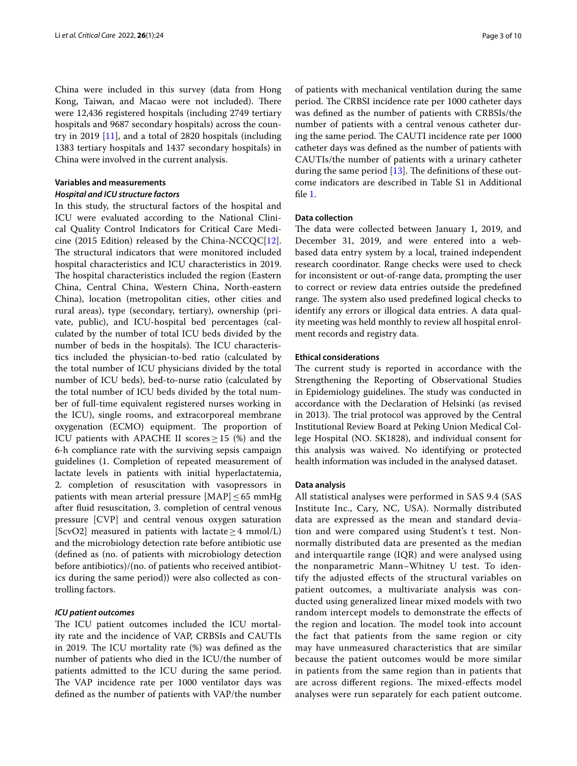China were included in this survey (data from Hong Kong, Taiwan, and Macao were not included). There were 12,436 registered hospitals (including 2749 tertiary hospitals and 9687 secondary hospitals) across the country in 2019 [[11\]](#page-9-8), and a total of 2820 hospitals (including 1383 tertiary hospitals and 1437 secondary hospitals) in China were involved in the current analysis.

## **Variables and measurements**

## *Hospital and ICU structure factors*

In this study, the structural factors of the hospital and ICU were evaluated according to the National Clinical Quality Control Indicators for Critical Care Medicine (2015 Edition) released by the China-NCCQC $[12]$  $[12]$ . The structural indicators that were monitored included hospital characteristics and ICU characteristics in 2019. The hospital characteristics included the region (Eastern China, Central China, Western China, North-eastern China), location (metropolitan cities, other cities and rural areas), type (secondary, tertiary), ownership (private, public), and ICU-hospital bed percentages (calculated by the number of total ICU beds divided by the number of beds in the hospitals). The ICU characteristics included the physician-to-bed ratio (calculated by the total number of ICU physicians divided by the total number of ICU beds), bed-to-nurse ratio (calculated by the total number of ICU beds divided by the total number of full-time equivalent registered nurses working in the ICU), single rooms, and extracorporeal membrane oxygenation (ECMO) equipment. The proportion of ICU patients with APACHE II scores  $\geq$  15 (%) and the 6-h compliance rate with the surviving sepsis campaign guidelines (1. Completion of repeated measurement of lactate levels in patients with initial hyperlactatemia, 2. completion of resuscitation with vasopressors in patients with mean arterial pressure [MAP] $\leq$  65 mmHg after fuid resuscitation, 3. completion of central venous pressure [CVP] and central venous oxygen saturation [ScvO2] measured in patients with lactate  $\geq$  4 mmol/L) and the microbiology detection rate before antibiotic use (defned as (no. of patients with microbiology detection before antibiotics)/(no. of patients who received antibiotics during the same period)) were also collected as controlling factors.

## *ICU patient outcomes*

The ICU patient outcomes included the ICU mortality rate and the incidence of VAP, CRBSIs and CAUTIs in 2019. The ICU mortality rate  $%$  was defined as the number of patients who died in the ICU/the number of patients admitted to the ICU during the same period. The VAP incidence rate per 1000 ventilator days was defned as the number of patients with VAP/the number

of patients with mechanical ventilation during the same period. The CRBSI incidence rate per 1000 catheter days was defned as the number of patients with CRBSIs/the number of patients with a central venous catheter during the same period. The CAUTI incidence rate per 1000 catheter days was defned as the number of patients with CAUTIs/the number of patients with a urinary catheter during the same period  $[13]$  $[13]$ . The definitions of these outcome indicators are described in Table S1 in Additional fle [1](#page-8-1).

## **Data collection**

The data were collected between January 1, 2019, and December 31, 2019, and were entered into a webbased data entry system by a local, trained independent research coordinator. Range checks were used to check for inconsistent or out-of-range data, prompting the user to correct or review data entries outside the predefned range. The system also used predefined logical checks to identify any errors or illogical data entries. A data quality meeting was held monthly to review all hospital enrolment records and registry data.

#### **Ethical considerations**

The current study is reported in accordance with the Strengthening the Reporting of Observational Studies in Epidemiology guidelines. The study was conducted in accordance with the Declaration of Helsinki (as revised in 2013). The trial protocol was approved by the Central Institutional Review Board at Peking Union Medical College Hospital (NO. SK1828), and individual consent for this analysis was waived. No identifying or protected health information was included in the analysed dataset.

## **Data analysis**

All statistical analyses were performed in SAS 9.4 (SAS Institute Inc., Cary, NC, USA). Normally distributed data are expressed as the mean and standard deviation and were compared using Student's t test. Nonnormally distributed data are presented as the median and interquartile range (IQR) and were analysed using the nonparametric Mann–Whitney U test. To identify the adjusted efects of the structural variables on patient outcomes, a multivariate analysis was conducted using generalized linear mixed models with two random intercept models to demonstrate the efects of the region and location. The model took into account the fact that patients from the same region or city may have unmeasured characteristics that are similar because the patient outcomes would be more similar in patients from the same region than in patients that are across different regions. The mixed-effects model analyses were run separately for each patient outcome.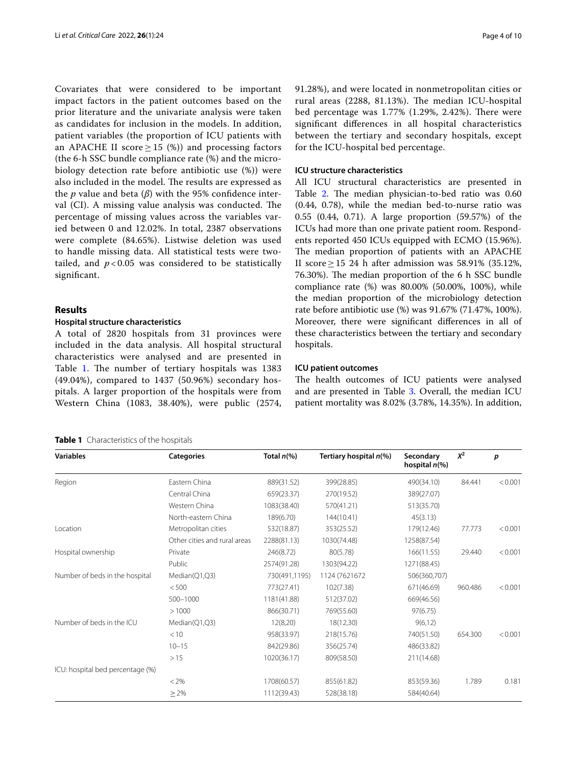Covariates that were considered to be important impact factors in the patient outcomes based on the prior literature and the univariate analysis were taken as candidates for inclusion in the models. In addition, patient variables (the proportion of ICU patients with an APACHE II score  $\geq$  15 (%)) and processing factors (the 6-h SSC bundle compliance rate (%) and the microbiology detection rate before antibiotic use (%)) were also included in the model. The results are expressed as the *p* value and beta (*β*) with the 95% confdence interval (CI). A missing value analysis was conducted. The percentage of missing values across the variables varied between 0 and 12.02%. In total, 2387 observations were complete (84.65%). Listwise deletion was used to handle missing data. All statistical tests were twotailed, and  $p < 0.05$  was considered to be statistically signifcant.

## **Results**

## **Hospital structure characteristics**

A total of 2820 hospitals from 31 provinces were included in the data analysis. All hospital structural characteristics were analysed and are presented in Table [1.](#page-3-0) The number of tertiary hospitals was 1383 (49.04%), compared to 1437 (50.96%) secondary hospitals. A larger proportion of the hospitals were from Western China (1083, 38.40%), were public (2574, 91.28%), and were located in nonmetropolitan cities or rural areas (2288, 81.13%). The median ICU-hospital bed percentage was  $1.77\%$  (1.29%, 2.42%). There were signifcant diferences in all hospital characteristics between the tertiary and secondary hospitals, except for the ICU-hospital bed percentage.

## **ICU structure characteristics**

All ICU structural characteristics are presented in Table [2](#page-4-0). The median physician-to-bed ratio was 0.60 (0.44, 0.78), while the median bed-to-nurse ratio was 0.55 (0.44, 0.71). A large proportion (59.57%) of the ICUs had more than one private patient room. Respondents reported 450 ICUs equipped with ECMO (15.96%). The median proportion of patients with an APACHE II score≥15 24 h after admission was 58.91% (35.12%, 76.30%). The median proportion of the 6 h SSC bundle compliance rate (%) was 80.00% (50.00%, 100%), while the median proportion of the microbiology detection rate before antibiotic use (%) was 91.67% (71.47%, 100%). Moreover, there were signifcant diferences in all of these characteristics between the tertiary and secondary hospitals.

## **ICU patient outcomes**

The health outcomes of ICU patients were analysed and are presented in Table [3](#page-4-1). Overall, the median ICU patient mortality was 8.02% (3.78%, 14.35%). In addition,

<span id="page-3-0"></span>

|  |  | Table 1 Characteristics of the hospitals |
|--|--|------------------------------------------|
|--|--|------------------------------------------|

| <b>Variables</b>                 | <b>Categories</b>            | Total $n\ll 0$ | Tertiary hospital n(%) | Secondary<br>hospital $n$ <sup>(%)</sup> | $X^2$   | p       |
|----------------------------------|------------------------------|----------------|------------------------|------------------------------------------|---------|---------|
| Region                           | Eastern China                | 889(31.52)     | 399(28.85)             | 490(34.10)                               | 84.441  | < 0.001 |
|                                  | Central China                | 659(23.37)     | 270(19.52)             | 389(27.07)                               |         |         |
|                                  | Western China                | 1083(38.40)    | 570(41.21)             | 513(35.70)                               |         |         |
|                                  | North-eastern China          | 189(6.70)      | 144(10.41)             | 45(3.13)                                 |         |         |
| Location                         | Metropolitan cities          | 532(18.87)     | 353(25.52)             | 179(12.46)                               | 77.773  | < 0.001 |
|                                  | Other cities and rural areas | 2288(81.13)    | 1030(74.48)            | 1258(87.54)                              |         |         |
| Hospital ownership               | Private                      | 246(8.72)      | 80(5.78)               | 166(11.55)                               | 29.440  | < 0.001 |
|                                  | Public                       | 2574(91.28)    | 1303(94.22)            | 1271(88.45)                              |         |         |
| Number of beds in the hospital   | Median(Q1,Q3)                | 730(491,1195)  | 1124 (7621672)         | 506(360,707)                             |         |         |
|                                  | < 500                        | 773(27.41)     | 102(7.38)              | 671(46.69)                               | 960.486 | < 0.001 |
|                                  | $500 - 1000$                 | 1181(41.88)    | 512(37.02)             | 669(46.56)                               |         |         |
|                                  | >1000                        | 866(30.71)     | 769(55.60)             | 97(6.75)                                 |         |         |
| Number of beds in the ICU        | Median(Q1,Q3)                | 12(8,20)       | 18(12,30)              | 9(6, 12)                                 |         |         |
|                                  | < 10                         | 958(33.97)     | 218(15.76)             | 740(51.50)                               | 654.300 | < 0.001 |
|                                  | $10 - 15$                    | 842(29.86)     | 356(25.74)             | 486(33.82)                               |         |         |
|                                  | >15                          | 1020(36.17)    | 809(58.50)             | 211(14.68)                               |         |         |
| ICU: hospital bed percentage (%) |                              |                |                        |                                          |         |         |
|                                  | $< 2\%$                      | 1708(60.57)    | 855(61.82)             | 853(59.36)                               | 1.789   | 0.181   |
|                                  | $\geq$ 2%                    | 1112(39.43)    | 528(38.18)             | 584(40.64)                               |         |         |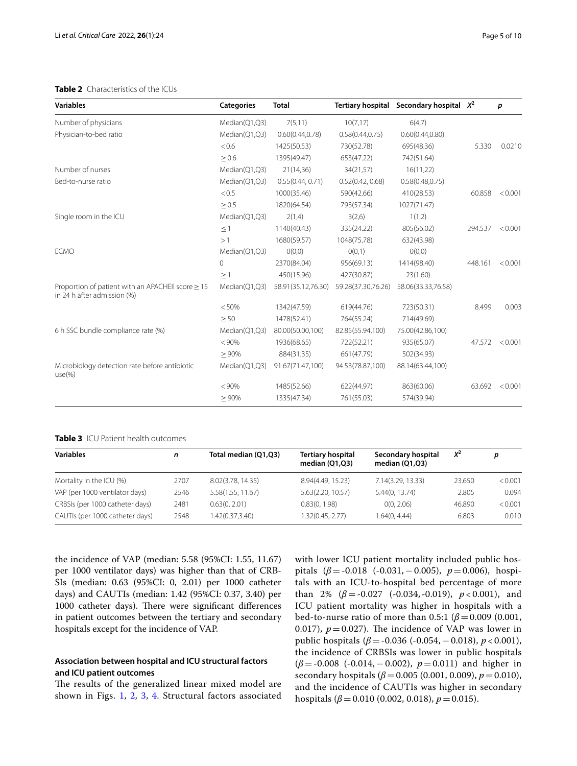## <span id="page-4-0"></span>**Table 2** Characteristics of the ICUs

| <b>Variables</b>                                                                 | <b>Categories</b> | <b>Total</b>       | <b>Tertiary hospital</b> | Secondary hospital $X^2$ |         | p       |
|----------------------------------------------------------------------------------|-------------------|--------------------|--------------------------|--------------------------|---------|---------|
| Number of physicians                                                             | Median(Q1,Q3)     | 7(5,11)            | 10(7,17)                 | 6(4,7)                   |         |         |
| Physician-to-bed ratio                                                           | Median(Q1,Q3)     | 0.60(0.44, 0.78)   | 0.58(0.44, 0.75)         | 0.60(0.44, 0.80)         |         |         |
|                                                                                  | < 0.6             | 1425(50.53)        | 730(52.78)               | 695(48.36)               | 5.330   | 0.0210  |
|                                                                                  | $\geq 0.6$        | 1395(49.47)        | 653(47.22)               | 742(51.64)               |         |         |
| Number of nurses                                                                 | Median(Q1,Q3)     | 21(14,36)          | 34(21,57)                | 16(11,22)                |         |         |
| Bed-to-nurse ratio                                                               | Median(Q1,Q3)     | 0.55(0.44, 0.71)   | 0.52(0.42, 0.68)         | 0.58(0.48, 0.75)         |         |         |
|                                                                                  | < 0.5             | 1000(35.46)        | 590(42.66)               | 410(28.53)               | 60.858  | < 0.001 |
|                                                                                  | $\geq 0.5$        | 1820(64.54)        | 793(57.34)               | 1027(71.47)              |         |         |
| Single room in the ICU                                                           | Median(Q1,Q3)     | 2(1,4)             | 3(2,6)                   | 1(1,2)                   |         |         |
|                                                                                  | $\leq$ 1          | 1140(40.43)        | 335(24.22)               | 805(56.02)               | 294.537 | < 0.001 |
|                                                                                  | >1                | 1680(59.57)        | 1048(75.78)              | 632(43.98)               |         |         |
| <b>ECMO</b>                                                                      | Median(Q1,Q3)     | O(0,0)             | O(0,1)                   | O(0,0)                   |         |         |
|                                                                                  | $\Omega$          | 2370(84.04)        | 956(69.13)               | 1414(98.40)              | 448.161 | < 0.001 |
|                                                                                  | $\geq$ 1          | 450(15.96)         | 427(30.87)               | 23(1.60)                 |         |         |
| Proportion of patient with an APACHEII score > 15<br>in 24 h after admission (%) | Median(Q1,Q3)     | 58.91(35.12,76.30) | 59.28(37.30,76.26)       | 58.06(33.33,76.58)       |         |         |
|                                                                                  | < 50%             | 1342(47.59)        | 619(44.76)               | 723(50.31)               | 8.499   | 0.003   |
|                                                                                  | > 50              | 1478(52.41)        | 764(55.24)               | 714(49.69)               |         |         |
| 6 h SSC bundle compliance rate (%)                                               | Median(Q1,Q3)     | 80.00(50.00,100)   | 82.85(55.94,100)         | 75.00(42.86,100)         |         |         |
|                                                                                  | < 90%             | 1936(68.65)        | 722(52.21)               | 935(65.07)               | 47.572  | < 0.001 |
|                                                                                  | > 90%             | 884(31.35)         | 661(47.79)               | 502(34.93)               |         |         |
| Microbiology detection rate before antibiotic<br>$use(\%)$                       | Median(Q1,Q3)     | 91.67(71.47,100)   | 94.53(78.87,100)         | 88.14(63.44,100)         |         |         |
|                                                                                  | < 90%             | 1485(52.66)        | 622(44.97)               | 863(60.06)               | 63.692  | < 0.001 |
|                                                                                  | $\geq 90\%$       | 1335(47.34)        | 761(55.03)               | 574(39.94)               |         |         |

#### <span id="page-4-1"></span>**Table 3** ICU Patient health outcomes

| <b>Variables</b>                | n    | Total median (Q1,Q3) | <b>Tertiary hospital</b><br>median $(Q1,Q3)$ | Secondary hospital<br>median $(Q1,Q3)$ | $X^2$  | р       |
|---------------------------------|------|----------------------|----------------------------------------------|----------------------------------------|--------|---------|
| Mortality in the ICU (%)        | 2707 | 8.02(3.78, 14.35)    | 8.94(4.49, 15.23)                            | 7.14(3.29, 13.33)                      | 23.650 | < 0.001 |
| VAP (per 1000 ventilator days)  | 2546 | 5.58(1.55, 11.67)    | 5.63(2.20, 10.57)                            | 5.44(0, 13.74)                         | 2.805  | 0.094   |
| CRBSIs (per 1000 catheter days) | 2481 | 0.63(0.2.01)         | 0.83(0, 1.98)                                | 0(0, 2.06)                             | 46.890 | < 0.001 |
| CAUTIs (per 1000 catheter days) | 2548 | 1.42(0.37,3.40)      | 1.32(0.45, 2.77)                             | 1.64(0, 4.44)                          | 6.803  | 0.010   |

the incidence of VAP (median: 5.58 (95%CI: 1.55, 11.67) per 1000 ventilator days) was higher than that of CRB-SIs (median: 0.63 (95%CI: 0, 2.01) per 1000 catheter days) and CAUTIs (median: 1.42 (95%CI: 0.37, 3.40) per 1000 catheter days). There were significant differences in patient outcomes between the tertiary and secondary hospitals except for the incidence of VAP.

## **Association between hospital and ICU structural factors and ICU patient outcomes**

The results of the generalized linear mixed model are shown in Figs. [1](#page-5-0), [2,](#page-5-1) [3,](#page-5-2) [4](#page-6-0). Structural factors associated with lower ICU patient mortality included public hospitals (*β*=-0.018 (-0.031,−0.005), *p*=0.006), hospitals with an ICU-to-hospital bed percentage of more than 2%  $(\beta = -0.027$   $(-0.034, -0.019)$ ,  $p < 0.001$ ), and ICU patient mortality was higher in hospitals with a bed-to-nurse ratio of more than 0.5:1 (*β*=0.009 (0.001, 0.017),  $p = 0.027$ ). The incidence of VAP was lower in public hospitals (*β*=-0.036 (-0.054,−0.018), *p* < 0.001), the incidence of CRBSIs was lower in public hospitals (*β*=-0.008 (-0.014,−0.002), *p*=0.011) and higher in secondary hospitals (*β*=0.005 (0.001, 0.009), *p*=0.010), and the incidence of CAUTIs was higher in secondary hospitals (*β*=0.010 (0.002, 0.018), *p*=0.015).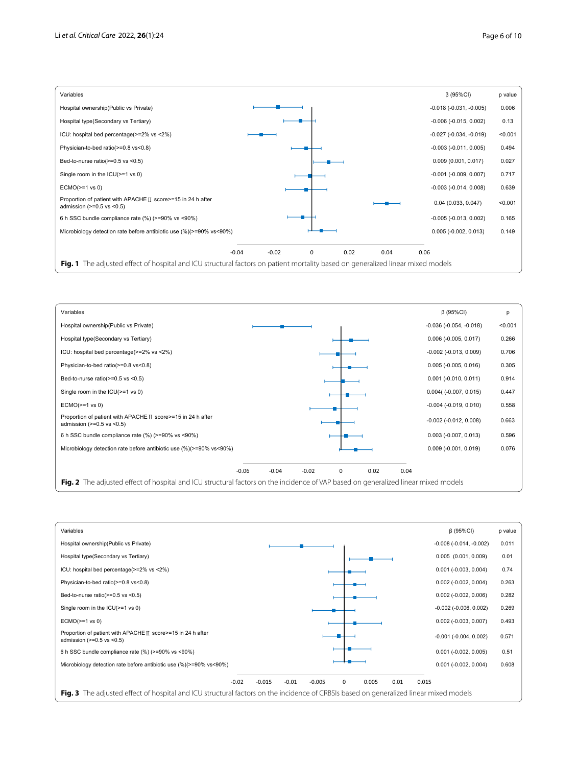

<span id="page-5-0"></span>

<span id="page-5-2"></span><span id="page-5-1"></span>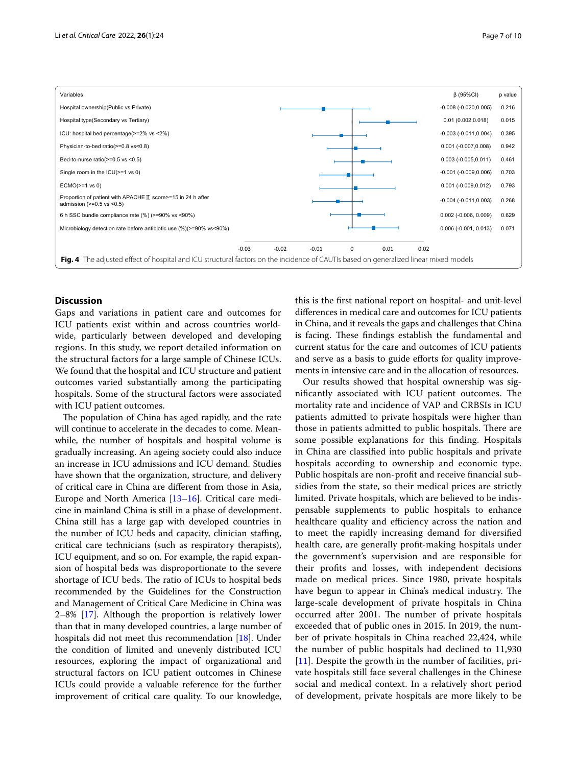

## <span id="page-6-0"></span>**Discussion**

Gaps and variations in patient care and outcomes for ICU patients exist within and across countries worldwide, particularly between developed and developing regions. In this study, we report detailed information on the structural factors for a large sample of Chinese ICUs. We found that the hospital and ICU structure and patient outcomes varied substantially among the participating hospitals. Some of the structural factors were associated with ICU patient outcomes.

The population of China has aged rapidly, and the rate will continue to accelerate in the decades to come. Meanwhile, the number of hospitals and hospital volume is gradually increasing. An ageing society could also induce an increase in ICU admissions and ICU demand. Studies have shown that the organization, structure, and delivery of critical care in China are diferent from those in Asia, Europe and North America [[13](#page-9-10)[–16](#page-9-11)]. Critical care medicine in mainland China is still in a phase of development. China still has a large gap with developed countries in the number of ICU beds and capacity, clinician staffing, critical care technicians (such as respiratory therapists), ICU equipment, and so on. For example, the rapid expansion of hospital beds was disproportionate to the severe shortage of ICU beds. The ratio of ICUs to hospital beds recommended by the Guidelines for the Construction and Management of Critical Care Medicine in China was 2–8% [[17\]](#page-9-12). Although the proportion is relatively lower than that in many developed countries, a large number of hospitals did not meet this recommendation [[18](#page-9-13)]. Under the condition of limited and unevenly distributed ICU resources, exploring the impact of organizational and structural factors on ICU patient outcomes in Chinese ICUs could provide a valuable reference for the further improvement of critical care quality. To our knowledge,

this is the frst national report on hospital- and unit-level diferences in medical care and outcomes for ICU patients in China, and it reveals the gaps and challenges that China is facing. These findings establish the fundamental and current status for the care and outcomes of ICU patients and serve as a basis to guide efforts for quality improvements in intensive care and in the allocation of resources.

Our results showed that hospital ownership was significantly associated with ICU patient outcomes. The mortality rate and incidence of VAP and CRBSIs in ICU patients admitted to private hospitals were higher than those in patients admitted to public hospitals. There are some possible explanations for this fnding. Hospitals in China are classifed into public hospitals and private hospitals according to ownership and economic type. Public hospitals are non-proft and receive fnancial subsidies from the state, so their medical prices are strictly limited. Private hospitals, which are believed to be indispensable supplements to public hospitals to enhance healthcare quality and efficiency across the nation and to meet the rapidly increasing demand for diversifed health care, are generally proft-making hospitals under the government's supervision and are responsible for their profts and losses, with independent decisions made on medical prices. Since 1980, private hospitals have begun to appear in China's medical industry. The large-scale development of private hospitals in China occurred after 2001. The number of private hospitals exceeded that of public ones in 2015. In 2019, the number of private hospitals in China reached 22,424, while the number of public hospitals had declined to 11,930 [[11\]](#page-9-8). Despite the growth in the number of facilities, private hospitals still face several challenges in the Chinese social and medical context. In a relatively short period of development, private hospitals are more likely to be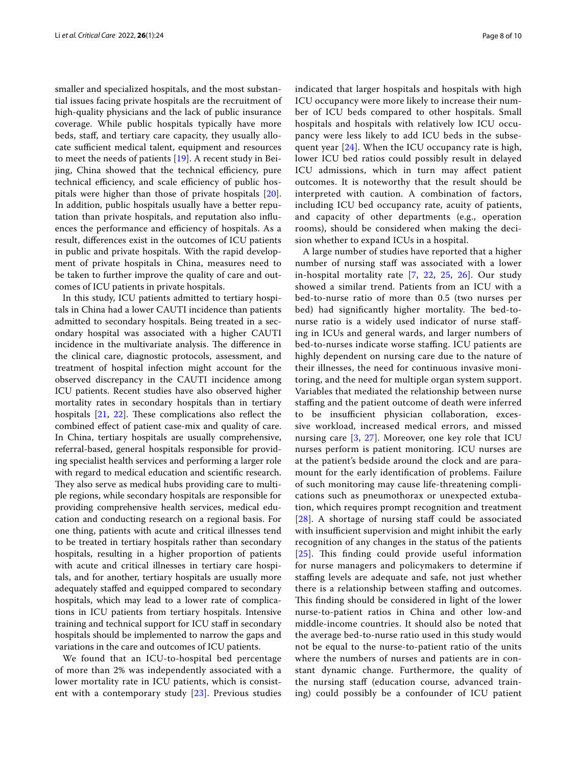smaller and specialized hospitals, and the most substantial issues facing private hospitals are the recruitment of high-quality physicians and the lack of public insurance coverage. While public hospitals typically have more beds, staf, and tertiary care capacity, they usually allocate sufficient medical talent, equipment and resources to meet the needs of patients [\[19](#page-9-14)]. A recent study in Beijing, China showed that the technical efficiency, pure technical efficiency, and scale efficiency of public hospitals were higher than those of private hospitals [\[20](#page-9-15)]. In addition, public hospitals usually have a better reputation than private hospitals, and reputation also infuences the performance and efficiency of hospitals. As a result, diferences exist in the outcomes of ICU patients in public and private hospitals. With the rapid development of private hospitals in China, measures need to be taken to further improve the quality of care and outcomes of ICU patients in private hospitals.

In this study, ICU patients admitted to tertiary hospitals in China had a lower CAUTI incidence than patients admitted to secondary hospitals. Being treated in a secondary hospital was associated with a higher CAUTI incidence in the multivariate analysis. The difference in the clinical care, diagnostic protocols, assessment, and treatment of hospital infection might account for the observed discrepancy in the CAUTI incidence among ICU patients. Recent studies have also observed higher mortality rates in secondary hospitals than in tertiary hospitals  $[21, 22]$  $[21, 22]$  $[21, 22]$  $[21, 22]$  $[21, 22]$ . These complications also reflect the combined efect of patient case-mix and quality of care. In China, tertiary hospitals are usually comprehensive, referral-based, general hospitals responsible for providing specialist health services and performing a larger role with regard to medical education and scientifc research. They also serve as medical hubs providing care to multiple regions, while secondary hospitals are responsible for providing comprehensive health services, medical education and conducting research on a regional basis. For one thing, patients with acute and critical illnesses tend to be treated in tertiary hospitals rather than secondary hospitals, resulting in a higher proportion of patients with acute and critical illnesses in tertiary care hospitals, and for another, tertiary hospitals are usually more adequately stafed and equipped compared to secondary hospitals, which may lead to a lower rate of complications in ICU patients from tertiary hospitals. Intensive training and technical support for ICU staf in secondary hospitals should be implemented to narrow the gaps and variations in the care and outcomes of ICU patients.

We found that an ICU-to-hospital bed percentage of more than 2% was independently associated with a lower mortality rate in ICU patients, which is consistent with a contemporary study  $[23]$  $[23]$ . Previous studies indicated that larger hospitals and hospitals with high ICU occupancy were more likely to increase their number of ICU beds compared to other hospitals. Small hospitals and hospitals with relatively low ICU occupancy were less likely to add ICU beds in the subsequent year  $[24]$  $[24]$  $[24]$ . When the ICU occupancy rate is high, lower ICU bed ratios could possibly result in delayed ICU admissions, which in turn may afect patient outcomes. It is noteworthy that the result should be interpreted with caution. A combination of factors, including ICU bed occupancy rate, acuity of patients, and capacity of other departments (e.g., operation rooms), should be considered when making the decision whether to expand ICUs in a hospital.

A large number of studies have reported that a higher number of nursing staff was associated with a lower in-hospital mortality rate [[7,](#page-9-4) [22,](#page-9-17) [25](#page-9-20), [26\]](#page-9-21). Our study showed a similar trend. Patients from an ICU with a bed-to-nurse ratio of more than 0.5 (two nurses per bed) had significantly higher mortality. The bed-tonurse ratio is a widely used indicator of nurse stafing in ICUs and general wards, and larger numbers of bed-to-nurses indicate worse staffing. ICU patients are highly dependent on nursing care due to the nature of their illnesses, the need for continuous invasive monitoring, and the need for multiple organ system support. Variables that mediated the relationship between nurse stafng and the patient outcome of death were inferred to be insufficient physician collaboration, excessive workload, increased medical errors, and missed nursing care [\[3](#page-9-0), [27](#page-9-22)]. Moreover, one key role that ICU nurses perform is patient monitoring. ICU nurses are at the patient's bedside around the clock and are paramount for the early identifcation of problems. Failure of such monitoring may cause life-threatening complications such as pneumothorax or unexpected extubation, which requires prompt recognition and treatment  $[28]$  $[28]$  $[28]$ . A shortage of nursing staff could be associated with insufficient supervision and might inhibit the early recognition of any changes in the status of the patients [[25](#page-9-20)]. This finding could provide useful information for nurse managers and policymakers to determine if stafng levels are adequate and safe, not just whether there is a relationship between stafng and outcomes. This finding should be considered in light of the lower nurse-to-patient ratios in China and other low-and middle-income countries. It should also be noted that the average bed-to-nurse ratio used in this study would not be equal to the nurse-to-patient ratio of the units where the numbers of nurses and patients are in constant dynamic change. Furthermore, the quality of the nursing staf (education course, advanced training) could possibly be a confounder of ICU patient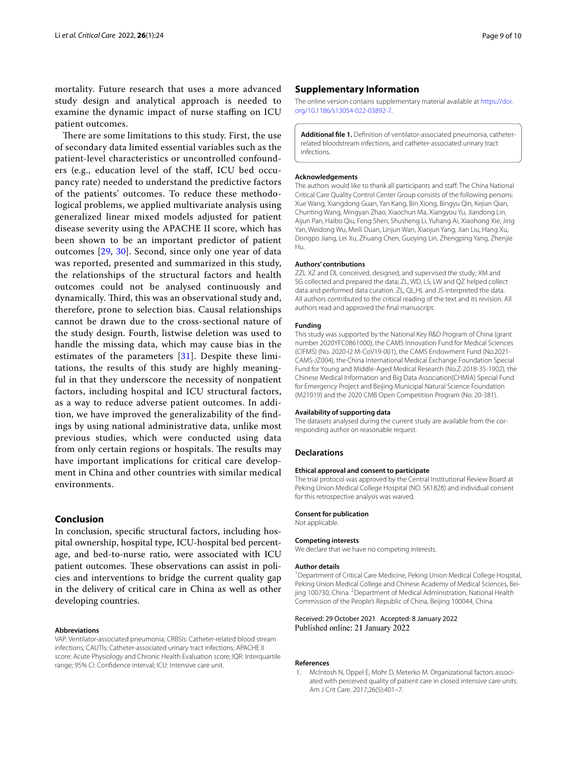mortality. Future research that uses a more advanced study design and analytical approach is needed to examine the dynamic impact of nurse staffing on ICU patient outcomes.

There are some limitations to this study. First, the use of secondary data limited essential variables such as the patient-level characteristics or uncontrolled confounders (e.g., education level of the staf, ICU bed occupancy rate) needed to understand the predictive factors of the patients' outcomes. To reduce these methodological problems, we applied multivariate analysis using generalized linear mixed models adjusted for patient disease severity using the APACHE II score, which has been shown to be an important predictor of patient outcomes [[29](#page-9-24), [30\]](#page-9-25). Second, since only one year of data was reported, presented and summarized in this study, the relationships of the structural factors and health outcomes could not be analysed continuously and dynamically. Third, this was an observational study and, therefore, prone to selection bias. Causal relationships cannot be drawn due to the cross-sectional nature of the study design. Fourth, listwise deletion was used to handle the missing data, which may cause bias in the estimates of the parameters [[31\]](#page-9-26). Despite these limitations, the results of this study are highly meaningful in that they underscore the necessity of nonpatient factors, including hospital and ICU structural factors, as a way to reduce adverse patient outcomes. In addition, we have improved the generalizability of the fndings by using national administrative data, unlike most previous studies, which were conducted using data from only certain regions or hospitals. The results may have important implications for critical care development in China and other countries with similar medical environments.

## **Conclusion**

In conclusion, specifc structural factors, including hospital ownership, hospital type, ICU-hospital bed percentage, and bed-to-nurse ratio, were associated with ICU patient outcomes. These observations can assist in policies and interventions to bridge the current quality gap in the delivery of critical care in China as well as other developing countries.

#### **Abbreviations**

VAP: Ventilator-associated pneumonia; CRBSIs: Catheter-related blood stream infections; CAUTIs: Catheter-associated urinary tract infections; APACHE II score: Acute Physiology and Chronic Health Evaluation score; IQR: Interquartile range; 95% CI: Confdence interval; ICU: Intensive care unit.

## **Supplementary Information**

The online version contains supplementary material available at [https://doi.](https://doi.org/10.1186/s13054-022-03892-7) [org/10.1186/s13054-022-03892-7](https://doi.org/10.1186/s13054-022-03892-7).

<span id="page-8-1"></span>**Additional fle 1.** Defnition of ventilator-associated pneumonia, catheterrelated bloodstream infections, and catheter-associated urinary tract infections.

#### **Acknowledgements**

The authors would like to thank all participants and staf. The China National Critical Care Quality Control Center Group consists of the following persons: Xue Wang, Xiangdong Guan, Yan Kang, Bin Xiong, Bingyu Qin, Kejian Qian, Chunting Wang, Mingyan Zhao, Xiaochun Ma, Xiangyou Yu, Jiandong Lin, Aijun Pan, Haibo Qiu, Feng Shen, Shusheng Li, Yuhang Ai, Xiaohong Xie, Jing Yan, Weidong Wu, Meili Duan, Linjun Wan, Xiaojun Yang, Jian Liu, Hang Xu, Dongpo Jiang, Lei Xu, Zhuang Chen, Guoying Lin, Zhengping Yang, Zhenjie Hu.

#### **Authors' contributions**

ZZL XZ and DL conceived, designed, and supervised the study; XM and SG collected and prepared the data; ZL, WD, LS, LW and QZ helped collect data and performed data curation. ZL, QL,HL and JS interpreted the data. All authors contributed to the critical reading of the text and its revision. All authors read and approved the fnal manuscript.

#### **Funding**

This study was supported by the National Key R&D Program of China (grant number 2020YFC0861000), the CAMS Innovation Fund for Medical Sciences (CIFMS) (No. 2020-I2 M-CoV19-001), the CAMS Endowment Fund (No.2021- CAMS-JZ004), the China International Medical Exchange Foundation Special Fund for Young and Middle-Aged Medical Research (No.Z-2018-35-1902), the Chinese Medical Information and Big Data Association(CHMIA) Special Fund for Emergency Project and Beijing Municipal Natural Science Foundation (M21019) and the 2020 CMB Open Competition Program (No. 20-381).

#### **Availability of supporting data**

The datasets analysed during the current study are available from the corresponding author on reasonable request.

#### **Declarations**

## **Ethical approval and consent to participate**

The trial protocol was approved by the Central Institutional Review Board at Peking Union Medical College Hospital (NO. SK1828) and individual consent for this retrospective analysis was waived.

#### **Consent for publication**

Not applicable.

#### **Competing interests**

We declare that we have no competing interests.

#### **Author details**

<sup>1</sup> Department of Critical Care Medicine, Peking Union Medical College Hospital, Peking Union Medical College and Chinese Academy of Medical Sciences, Beijing 100730, China. <sup>2</sup> Department of Medical Administration, National Health Commission of the People's Republic of China, Beijing 100044, China.

#### Received: 29 October 2021 Accepted: 8 January 2022 Published online: 21 January 2022

#### **References**

<span id="page-8-0"></span>1. McIntosh N, Oppel E, Mohr D, Meterko M. Organizational factors associated with perceived quality of patient care in closed intensive care units. Am J Crit Care. 2017;26(5):401–7.